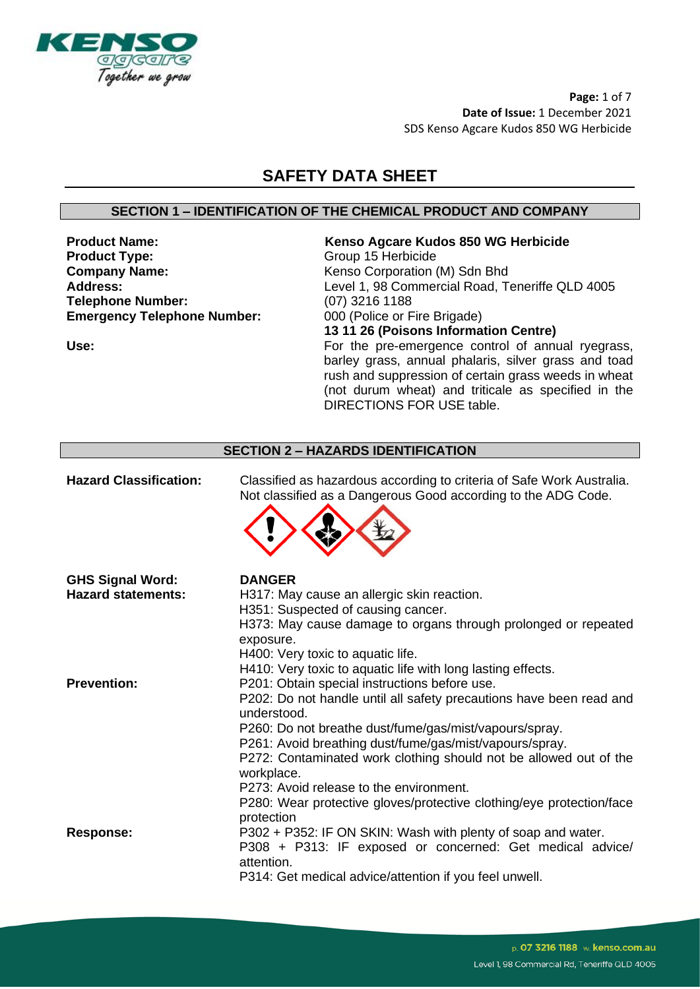

**Page:** 1 of 7 **Date of Issue:** 1 December 2021 SDS Kenso Agcare Kudos 850 WG Herbicide

# **SAFETY DATA SHEET**

# **SECTION 1 – IDENTIFICATION OF THE CHEMICAL PRODUCT AND COMPANY**

**Product Type:** Group 15 Herbicide **Company Name:** Kenso Corporation (M) Sdn Bhd<br> **Address:** Level 1, 98 Commercial Road, Text **Telephone Number:** (07) 3216 1188 **Emergency Telephone Number:** 000 (Police or Fire Brigade)

# **Product Name: Kenso Agcare Kudos 850 WG Herbicide**

Level 1, 98 Commercial Road, Teneriffe QLD 4005 **13 11 26 (Poisons Information Centre)** Use: Use: **Example 2018** For the pre-emergence control of annual ryegrass,

barley grass, annual phalaris, silver grass and toad rush and suppression of certain grass weeds in wheat (not durum wheat) and triticale as specified in the DIRECTIONS FOR USE table.

## **SECTION 2 – HAZARDS IDENTIFICATION**

| <b>Hazard Classification:</b> | Classified as hazardous according to criteria of Safe Work Australia.<br>Not classified as a Dangerous Good according to the ADG Code.  |
|-------------------------------|-----------------------------------------------------------------------------------------------------------------------------------------|
| <b>GHS Signal Word:</b>       | <b>DANGER</b>                                                                                                                           |
| <b>Hazard statements:</b>     | H317: May cause an allergic skin reaction.                                                                                              |
|                               | H351: Suspected of causing cancer.                                                                                                      |
|                               | H373: May cause damage to organs through prolonged or repeated<br>exposure.                                                             |
|                               | H400: Very toxic to aquatic life.                                                                                                       |
|                               | H410: Very toxic to aquatic life with long lasting effects.                                                                             |
| <b>Prevention:</b>            | P201: Obtain special instructions before use.                                                                                           |
|                               | P202: Do not handle until all safety precautions have been read and<br>understood.                                                      |
|                               | P260: Do not breathe dust/fume/gas/mist/vapours/spray.                                                                                  |
|                               | P261: Avoid breathing dust/fume/gas/mist/vapours/spray.                                                                                 |
|                               | P272: Contaminated work clothing should not be allowed out of the<br>workplace.                                                         |
|                               | P273: Avoid release to the environment.                                                                                                 |
|                               | P280: Wear protective gloves/protective clothing/eye protection/face<br>protection                                                      |
| <b>Response:</b>              | P302 + P352: IF ON SKIN: Wash with plenty of soap and water.<br>P308 + P313: IF exposed or concerned: Get medical advice/<br>attention. |
|                               | P314: Get medical advice/attention if you feel unwell.                                                                                  |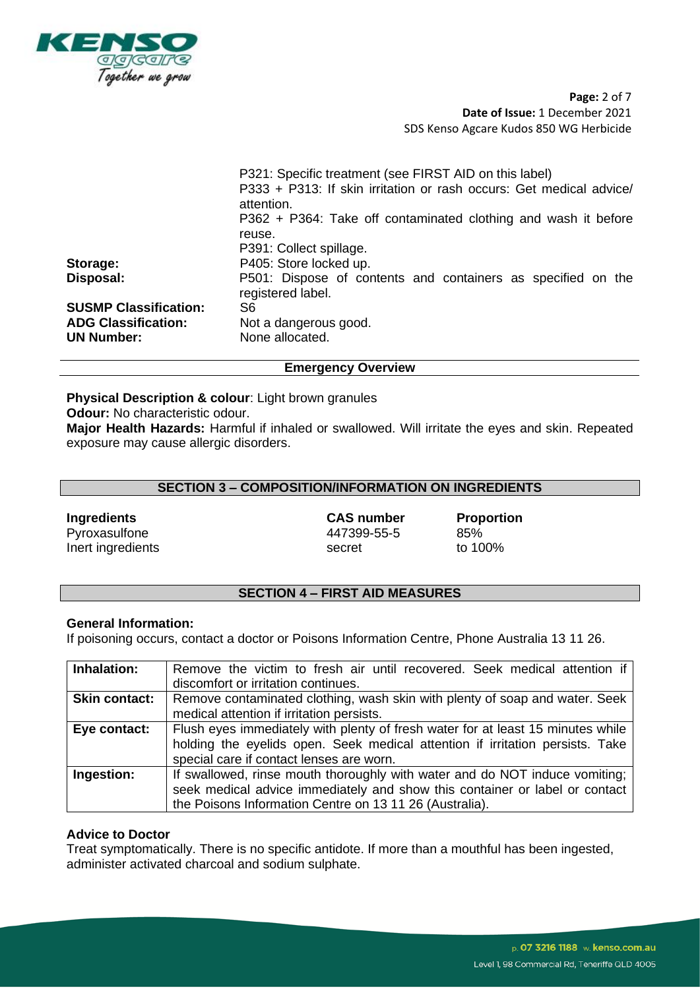

**Page:** 2 of 7 **Date of Issue:** 1 December 2021 SDS Kenso Agcare Kudos 850 WG Herbicide

P321: Specific treatment (see FIRST AID on this label) P333 + P313: If skin irritation or rash occurs: Get medical advice/ attention. P362 + P364: Take off contaminated clothing and wash it before reuse. P391: Collect spillage. **Storage:** P405: Store locked up. **Disposal:** P501: Dispose of contents and containers as specified on the registered label. **SUSMP Classification:** S6 **ADG Classification:** Not a dangerous good. **UN Number:** None allocated.

#### **Emergency Overview**

**Physical Description & colour**: Light brown granules

**Odour:** No characteristic odour.

**Major Health Hazards:** Harmful if inhaled or swallowed. Will irritate the eyes and skin. Repeated exposure may cause allergic disorders.

#### **SECTION 3 – COMPOSITION/INFORMATION ON INGREDIENTS**

**Ingredients CAS number Proportion** Pyroxasulfone 85% Inert ingredients and the secret to 100%

#### **SECTION 4 – FIRST AID MEASURES**

#### **General Information:**

If poisoning occurs, contact a doctor or Poisons Information Centre, Phone Australia 13 11 26.

| Inhalation:          | Remove the victim to fresh air until recovered. Seek medical attention if<br>discomfort or irritation continues.                                                                                                      |  |
|----------------------|-----------------------------------------------------------------------------------------------------------------------------------------------------------------------------------------------------------------------|--|
| <b>Skin contact:</b> | Remove contaminated clothing, wash skin with plenty of soap and water. Seek<br>medical attention if irritation persists.                                                                                              |  |
| Eye contact:         | Flush eyes immediately with plenty of fresh water for at least 15 minutes while<br>holding the eyelids open. Seek medical attention if irritation persists. Take<br>special care if contact lenses are worn.          |  |
| Ingestion:           | If swallowed, rinse mouth thoroughly with water and do NOT induce vomiting;<br>seek medical advice immediately and show this container or label or contact<br>the Poisons Information Centre on 13 11 26 (Australia). |  |

#### **Advice to Doctor**

Treat symptomatically. There is no specific antidote. If more than a mouthful has been ingested, administer activated charcoal and sodium sulphate.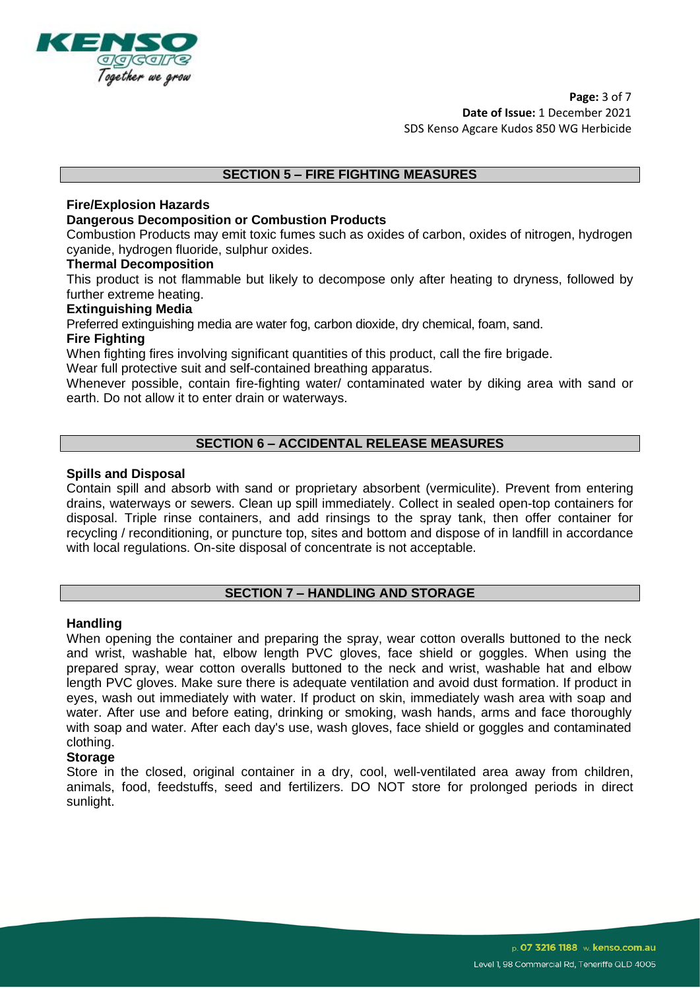

**Page:** 3 of 7 **Date of Issue:** 1 December 2021 SDS Kenso Agcare Kudos 850 WG Herbicide

# **SECTION 5 – FIRE FIGHTING MEASURES**

## **Fire/Explosion Hazards**

## **Dangerous Decomposition or Combustion Products**

Combustion Products may emit toxic fumes such as oxides of carbon, oxides of nitrogen, hydrogen cyanide, hydrogen fluoride, sulphur oxides.

## **Thermal Decomposition**

This product is not flammable but likely to decompose only after heating to dryness, followed by further extreme heating.

## **Extinguishing Media**

Preferred extinguishing media are water fog, carbon dioxide, dry chemical, foam, sand.

## **Fire Fighting**

When fighting fires involving significant quantities of this product, call the fire brigade.

Wear full protective suit and self-contained breathing apparatus.

Whenever possible, contain fire-fighting water/ contaminated water by diking area with sand or earth. Do not allow it to enter drain or waterways.

# **SECTION 6 – ACCIDENTAL RELEASE MEASURES**

## **Spills and Disposal**

Contain spill and absorb with sand or proprietary absorbent (vermiculite). Prevent from entering drains, waterways or sewers. Clean up spill immediately. Collect in sealed open-top containers for disposal. Triple rinse containers, and add rinsings to the spray tank, then offer container for recycling / reconditioning, or puncture top, sites and bottom and dispose of in landfill in accordance with local regulations. On-site disposal of concentrate is not acceptable.

## **SECTION 7 – HANDLING AND STORAGE**

## **Handling**

When opening the container and preparing the spray, wear cotton overalls buttoned to the neck and wrist, washable hat, elbow length PVC gloves, face shield or goggles. When using the prepared spray, wear cotton overalls buttoned to the neck and wrist, washable hat and elbow length PVC gloves. Make sure there is adequate ventilation and avoid dust formation. If product in eyes, wash out immediately with water. If product on skin, immediately wash area with soap and water. After use and before eating, drinking or smoking, wash hands, arms and face thoroughly with soap and water. After each day's use, wash gloves, face shield or goggles and contaminated clothing.

## **Storage**

Store in the closed, original container in a dry, cool, well-ventilated area away from children, animals, food, feedstuffs, seed and fertilizers. DO NOT store for prolonged periods in direct sunlight.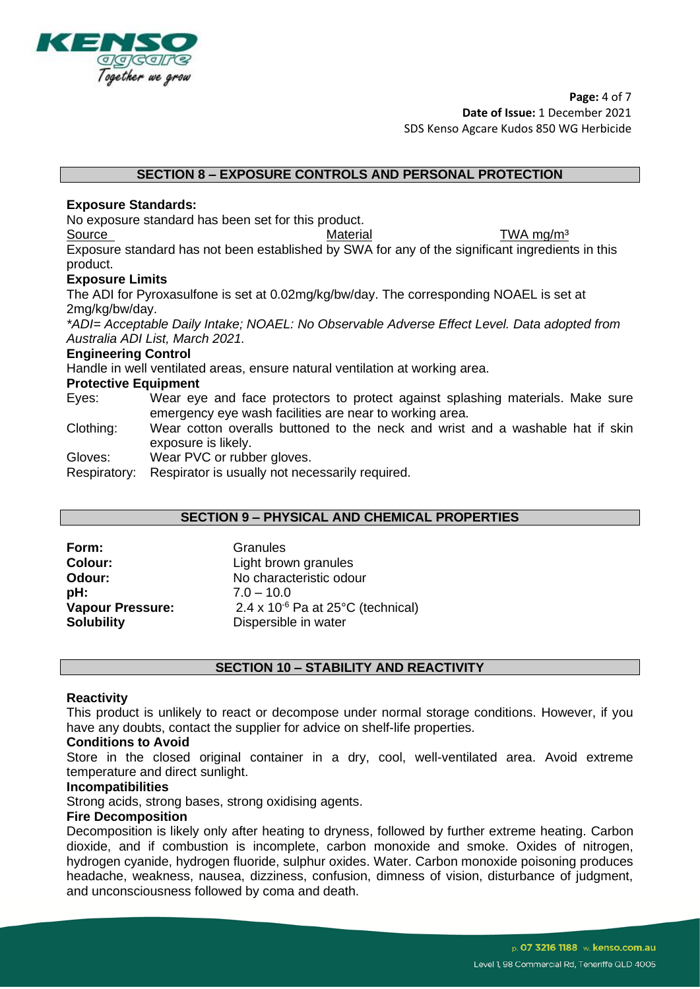

**Page:** 4 of 7 **Date of Issue:** 1 December 2021 SDS Kenso Agcare Kudos 850 WG Herbicide

## **SECTION 8 – EXPOSURE CONTROLS AND PERSONAL PROTECTION**

## **Exposure Standards:**

No exposure standard has been set for this product.

Source Material Material TWA mg/m<sup>3</sup> Exposure standard has not been established by SWA for any of the significant ingredients in this product.

#### **Exposure Limits**

The ADI for Pyroxasulfone is set at 0.02mg/kg/bw/day. The corresponding NOAEL is set at 2mg/kg/bw/day.

*\*ADI= Acceptable Daily Intake; NOAEL: No Observable Adverse Effect Level. Data adopted from Australia ADI List, March 2021.*

#### **Engineering Control**

Handle in well ventilated areas, ensure natural ventilation at working area.

#### **Protective Equipment**

- Eyes: Wear eye and face protectors to protect against splashing materials. Make sure emergency eye wash facilities are near to working area.
- Clothing: Wear cotton overalls buttoned to the neck and wrist and a washable hat if skin exposure is likely.

Gloves: Wear PVC or rubber gloves.

Respiratory: Respirator is usually not necessarily required.

#### **SECTION 9 – PHYSICAL AND CHEMICAL PROPERTIES**

| Form:                   |  |
|-------------------------|--|
| Colour:                 |  |
| Odour:                  |  |
| pH:                     |  |
| <b>Vapour Pressure:</b> |  |
| <b>Solubility</b>       |  |

**Form:** Granules Light brown granules **Odour:** No characteristic odour **pH:** 7.0 – 10.0 **Vapour Pressure:** 2.4 x 10-6 Pa at 25°C (technical) **Dispersible in water** 

## **SECTION 10 – STABILITY AND REACTIVITY**

#### **Reactivity**

This product is unlikely to react or decompose under normal storage conditions. However, if you have any doubts, contact the supplier for advice on shelf-life properties.

#### **Conditions to Avoid**

Store in the closed original container in a dry, cool, well-ventilated area. Avoid extreme temperature and direct sunlight.

#### **Incompatibilities**

Strong acids, strong bases, strong oxidising agents.

## **Fire Decomposition**

Decomposition is likely only after heating to dryness, followed by further extreme heating. Carbon dioxide, and if combustion is incomplete, carbon monoxide and smoke. Oxides of nitrogen, hydrogen cyanide, hydrogen fluoride, sulphur oxides. Water. Carbon monoxide poisoning produces headache, weakness, nausea, dizziness, confusion, dimness of vision, disturbance of judgment, and unconsciousness followed by coma and death.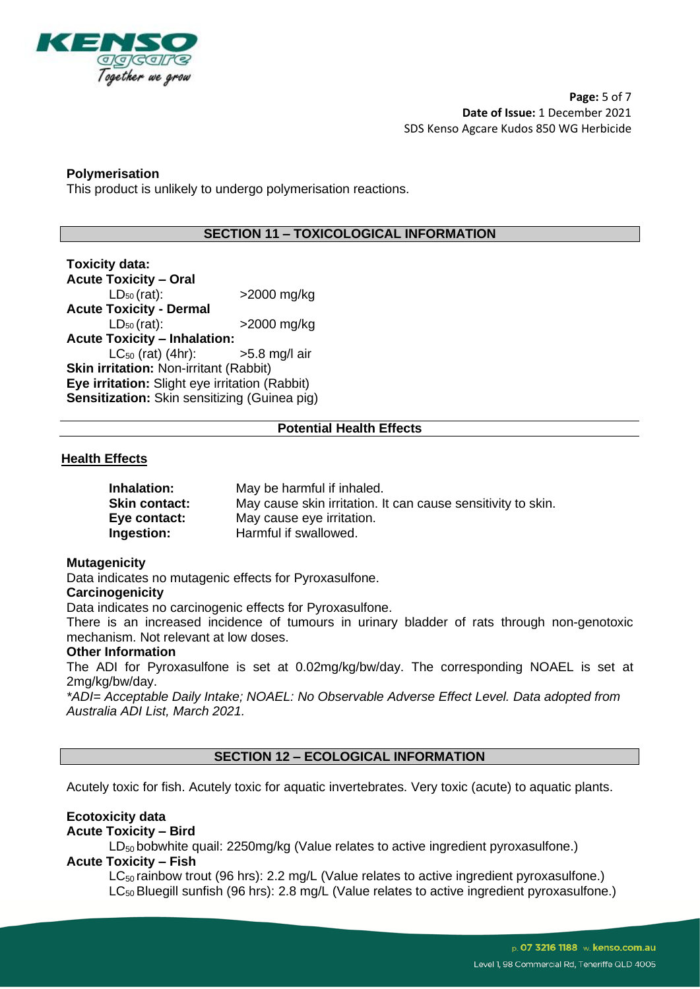

## **Polymerisation**

This product is unlikely to undergo polymerisation reactions.

## **SECTION 11 – TOXICOLOGICAL INFORMATION**

**Toxicity data: Acute Toxicity – Oral**  LD50 (rat): >2000 mg/kg **Acute Toxicity - Dermal**  $LD_{50}$  (rat):  $>2000$  mg/kg **Acute Toxicity – Inhalation:**  $LC_{50}$  (rat) (4hr):  $>5.8$  mg/l air **Skin irritation: Non-irritant (Rabbit) Eye irritation:** Slight eye irritation (Rabbit) **Sensitization:** Skin sensitizing (Guinea pig)

## **Potential Health Effects**

## **Health Effects**

| <b>Inhalation:</b> | May be harmful if inhaled.                                   |
|--------------------|--------------------------------------------------------------|
| Skin contact:      | May cause skin irritation. It can cause sensitivity to skin. |
| Eye contact:       | May cause eye irritation.                                    |
| <b>Ingestion:</b>  | Harmful if swallowed.                                        |

#### **Mutagenicity**

Data indicates no mutagenic effects for Pyroxasulfone.

#### **Carcinogenicity**

Data indicates no carcinogenic effects for Pyroxasulfone.

There is an increased incidence of tumours in urinary bladder of rats through non-genotoxic mechanism. Not relevant at low doses.

#### **Other Information**

The ADI for Pyroxasulfone is set at 0.02mg/kg/bw/day. The corresponding NOAEL is set at 2mg/kg/bw/day.

*\*ADI= Acceptable Daily Intake; NOAEL: No Observable Adverse Effect Level. Data adopted from Australia ADI List, March 2021.*

## **SECTION 12 – ECOLOGICAL INFORMATION**

Acutely toxic for fish. Acutely toxic for aquatic invertebrates. Very toxic (acute) to aquatic plants.

## **Ecotoxicity data**

**Acute Toxicity – Bird**

LD<sub>50</sub> bobwhite quail: 2250mg/kg (Value relates to active ingredient pyroxasulfone.) **Acute Toxicity – Fish**

 $LC_{50}$  rainbow trout (96 hrs): 2.2 mg/L (Value relates to active ingredient pyroxasulfone.) LC<sub>50</sub> Bluegill sunfish (96 hrs): 2.8 mg/L (Value relates to active ingredient pyroxasulfone.)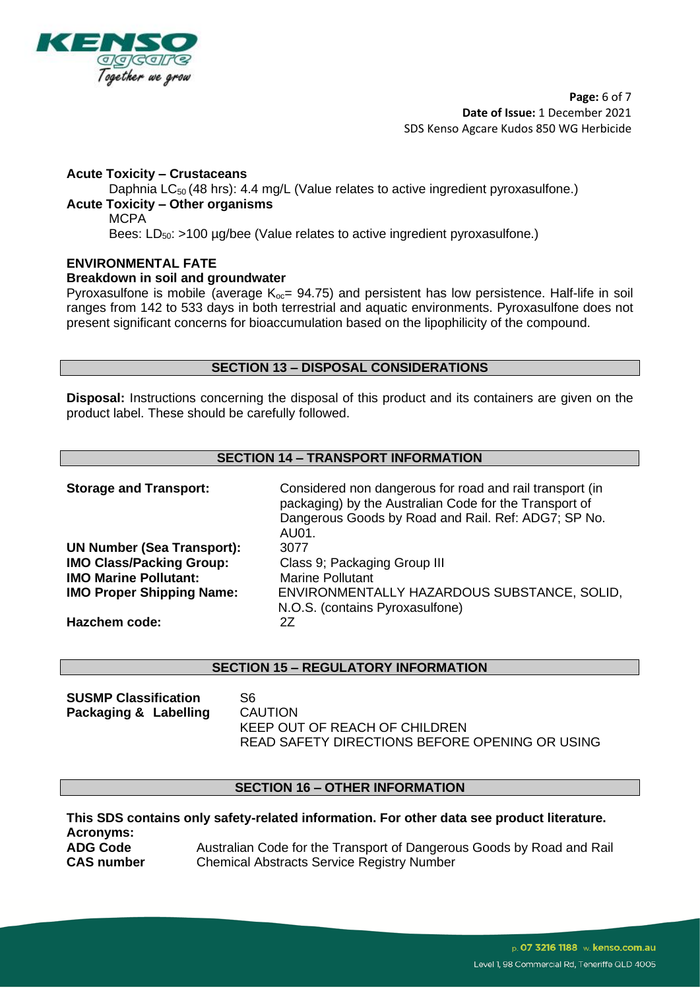

**Page:** 6 of 7 **Date of Issue:** 1 December 2021 SDS Kenso Agcare Kudos 850 WG Herbicide

## **Acute Toxicity – Crustaceans**

Daphnia  $LC_{50}$  (48 hrs): 4.4 mg/L (Value relates to active ingredient pyroxasulfone.)

# **Acute Toxicity – Other organisms**

**MCPA** 

Bees:  $LD_{50}$ : >100 µg/bee (Value relates to active ingredient pyroxasulfone.)

# **ENVIRONMENTAL FATE**

# **Breakdown in soil and groundwater**

Pyroxasulfone is mobile (average  $K_{oc}$ = 94.75) and persistent has low persistence. Half-life in soil ranges from 142 to 533 days in both terrestrial and aquatic environments. Pyroxasulfone does not present significant concerns for bioaccumulation based on the lipophilicity of the compound.

#### **SECTION 13 – DISPOSAL CONSIDERATIONS**

**Disposal:** Instructions concerning the disposal of this product and its containers are given on the product label. These should be carefully followed.

# **SECTION 14 – TRANSPORT INFORMATION**

| <b>Storage and Transport:</b>     | Considered non dangerous for road and rail transport (in<br>packaging) by the Australian Code for the Transport of<br>Dangerous Goods by Road and Rail. Ref: ADG7; SP No.<br>AU01. |
|-----------------------------------|------------------------------------------------------------------------------------------------------------------------------------------------------------------------------------|
| <b>UN Number (Sea Transport):</b> | 3077                                                                                                                                                                               |
| <b>IMO Class/Packing Group:</b>   | Class 9; Packaging Group III                                                                                                                                                       |
| <b>IMO Marine Pollutant:</b>      | <b>Marine Pollutant</b>                                                                                                                                                            |
| <b>IMO Proper Shipping Name:</b>  | ENVIRONMENTALLY HAZARDOUS SUBSTANCE, SOLID,                                                                                                                                        |
|                                   | N.O.S. (contains Pyroxasulfone)                                                                                                                                                    |
| <b>Hazchem code:</b>              | 2Z                                                                                                                                                                                 |

#### **SECTION 15 – REGULATORY INFORMATION**

| <b>SUSMP Classification</b> |                                                |
|-----------------------------|------------------------------------------------|
| Packaging & Labelling       | <b>CAUTION</b>                                 |
|                             | KEEP OUT OF REACH OF CHILDREN                  |
|                             | READ SAFETY DIRECTIONS BEFORE OPENING OR USING |

#### **SECTION 16 – OTHER INFORMATION**

**This SDS contains only safety-related information. For other data see product literature. Acronyms: ADG Code** Australian Code for the Transport of Dangerous Goods by Road and Rail **CAS number** Chemical Abstracts Service Registry Number